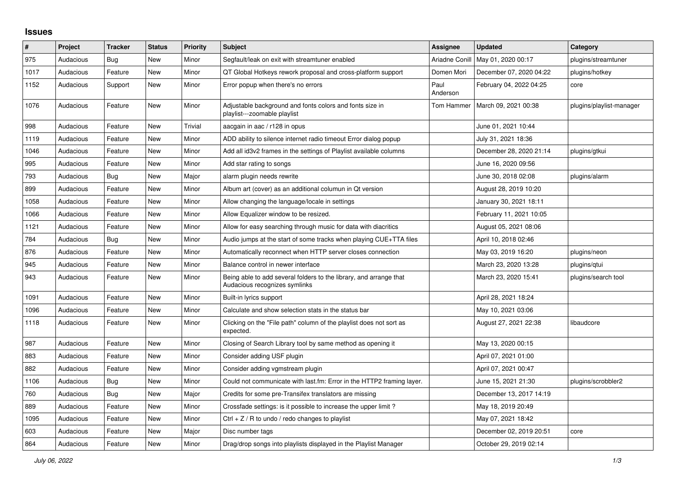## **Issues**

| $\#$ | Project   | <b>Tracker</b> | <b>Status</b> | <b>Priority</b> | <b>Subject</b>                                                                                      | <b>Assignee</b>  | <b>Updated</b>          | Category                 |
|------|-----------|----------------|---------------|-----------------|-----------------------------------------------------------------------------------------------------|------------------|-------------------------|--------------------------|
| 975  | Audacious | <b>Bug</b>     | New           | Minor           | Segfault/leak on exit with streamtuner enabled                                                      | Ariadne Conill   | May 01, 2020 00:17      | plugins/streamtuner      |
| 1017 | Audacious | Feature        | New           | Minor           | QT Global Hotkeys rework proposal and cross-platform support                                        | Domen Mori       | December 07, 2020 04:22 | plugins/hotkey           |
| 1152 | Audacious | Support        | New           | Minor           | Error popup when there's no errors                                                                  | Paul<br>Anderson | February 04, 2022 04:25 | core                     |
| 1076 | Audacious | Feature        | <b>New</b>    | Minor           | Adjustable background and fonts colors and fonts size in<br>playlist---zoomable playlist            | Tom Hammer       | March 09, 2021 00:38    | plugins/playlist-manager |
| 998  | Audacious | Feature        | New           | Trivial         | aacgain in aac / r128 in opus                                                                       |                  | June 01, 2021 10:44     |                          |
| 1119 | Audacious | Feature        | New           | Minor           | ADD ability to silence internet radio timeout Error dialog popup                                    |                  | July 31, 2021 18:36     |                          |
| 1046 | Audacious | Feature        | New           | Minor           | Add all id3v2 frames in the settings of Playlist available columns                                  |                  | December 28, 2020 21:14 | plugins/gtkui            |
| 995  | Audacious | Feature        | <b>New</b>    | Minor           | Add star rating to songs                                                                            |                  | June 16, 2020 09:56     |                          |
| 793  | Audacious | Bug            | New           | Major           | alarm plugin needs rewrite                                                                          |                  | June 30, 2018 02:08     | plugins/alarm            |
| 899  | Audacious | Feature        | New           | Minor           | Album art (cover) as an additional columun in Qt version                                            |                  | August 28, 2019 10:20   |                          |
| 1058 | Audacious | Feature        | New           | Minor           | Allow changing the language/locale in settings                                                      |                  | January 30, 2021 18:11  |                          |
| 1066 | Audacious | Feature        | <b>New</b>    | Minor           | Allow Equalizer window to be resized.                                                               |                  | February 11, 2021 10:05 |                          |
| 1121 | Audacious | Feature        | <b>New</b>    | Minor           | Allow for easy searching through music for data with diacritics                                     |                  | August 05, 2021 08:06   |                          |
| 784  | Audacious | Bug            | New           | Minor           | Audio jumps at the start of some tracks when playing CUE+TTA files                                  |                  | April 10, 2018 02:46    |                          |
| 876  | Audacious | Feature        | <b>New</b>    | Minor           | Automatically reconnect when HTTP server closes connection                                          |                  | May 03, 2019 16:20      | plugins/neon             |
| 945  | Audacious | Feature        | New           | Minor           | Balance control in newer interface                                                                  |                  | March 23, 2020 13:28    | plugins/gtui             |
| 943  | Audacious | Feature        | <b>New</b>    | Minor           | Being able to add several folders to the library, and arrange that<br>Audacious recognizes symlinks |                  | March 23, 2020 15:41    | plugins/search tool      |
| 1091 | Audacious | Feature        | <b>New</b>    | Minor           | Built-in lyrics support                                                                             |                  | April 28, 2021 18:24    |                          |
| 1096 | Audacious | Feature        | <b>New</b>    | Minor           | Calculate and show selection stats in the status bar                                                |                  | May 10, 2021 03:06      |                          |
| 1118 | Audacious | Feature        | <b>New</b>    | Minor           | Clicking on the "File path" column of the playlist does not sort as<br>expected.                    |                  | August 27, 2021 22:38   | libaudcore               |
| 987  | Audacious | Feature        | <b>New</b>    | Minor           | Closing of Search Library tool by same method as opening it                                         |                  | May 13, 2020 00:15      |                          |
| 883  | Audacious | Feature        | <b>New</b>    | Minor           | Consider adding USF plugin                                                                          |                  | April 07, 2021 01:00    |                          |
| 882  | Audacious | Feature        | New           | Minor           | Consider adding vgmstream plugin                                                                    |                  | April 07, 2021 00:47    |                          |
| 1106 | Audacious | Bug            | New           | Minor           | Could not communicate with last.fm: Error in the HTTP2 framing layer.                               |                  | June 15, 2021 21:30     | plugins/scrobbler2       |
| 760  | Audacious | Bug            | <b>New</b>    | Major           | Credits for some pre-Transifex translators are missing                                              |                  | December 13, 2017 14:19 |                          |
| 889  | Audacious | Feature        | <b>New</b>    | Minor           | Crossfade settings: is it possible to increase the upper limit?                                     |                  | May 18, 2019 20:49      |                          |
| 1095 | Audacious | Feature        | New           | Minor           | Ctrl $+$ Z / R to undo / redo changes to playlist                                                   |                  | May 07, 2021 18:42      |                          |
| 603  | Audacious | Feature        | New           | Major           | Disc number tags                                                                                    |                  | December 02, 2019 20:51 | core                     |
| 864  | Audacious | Feature        | New           | Minor           | Drag/drop songs into playlists displayed in the Playlist Manager                                    |                  | October 29, 2019 02:14  |                          |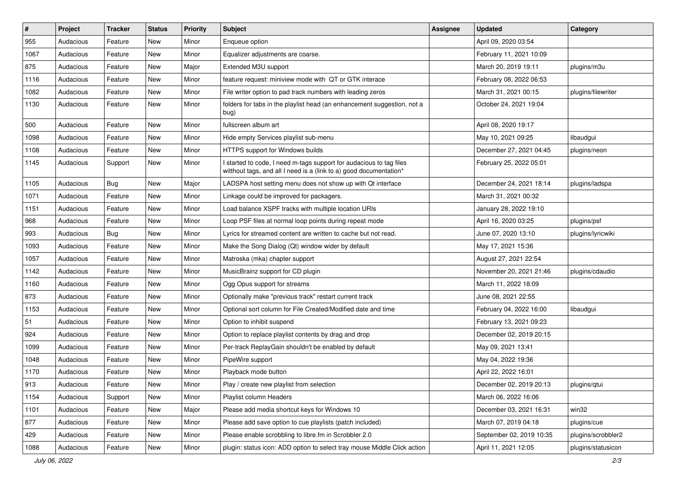| $\vert$ # | Project   | <b>Tracker</b> | <b>Status</b> | <b>Priority</b> | <b>Subject</b>                                                                                                                            | Assignee | <b>Updated</b>           | Category           |
|-----------|-----------|----------------|---------------|-----------------|-------------------------------------------------------------------------------------------------------------------------------------------|----------|--------------------------|--------------------|
| 955       | Audacious | Feature        | <b>New</b>    | Minor           | Enqueue option                                                                                                                            |          | April 09, 2020 03:54     |                    |
| 1067      | Audacious | Feature        | <b>New</b>    | Minor           | Equalizer adjustments are coarse.                                                                                                         |          | February 11, 2021 10:09  |                    |
| 875       | Audacious | Feature        | New           | Major           | Extended M3U support                                                                                                                      |          | March 20, 2019 19:11     | plugins/m3u        |
| 1116      | Audacious | Feature        | New           | Minor           | feature request: miniview mode with QT or GTK interace                                                                                    |          | February 08, 2022 06:53  |                    |
| 1082      | Audacious | Feature        | <b>New</b>    | Minor           | File writer option to pad track numbers with leading zeros                                                                                |          | March 31, 2021 00:15     | plugins/filewriter |
| 1130      | Audacious | Feature        | New           | Minor           | folders for tabs in the playlist head (an enhancement suggestion, not a<br>bug)                                                           |          | October 24, 2021 19:04   |                    |
| 500       | Audacious | Feature        | New           | Minor           | fullscreen album art                                                                                                                      |          | April 08, 2020 19:17     |                    |
| 1098      | Audacious | Feature        | New           | Minor           | Hide empty Services playlist sub-menu                                                                                                     |          | May 10, 2021 09:25       | libaudgui          |
| 1108      | Audacious | Feature        | <b>New</b>    | Minor           | HTTPS support for Windows builds                                                                                                          |          | December 27, 2021 04:45  | plugins/neon       |
| 1145      | Audacious | Support        | New           | Minor           | I started to code, I need m-tags support for audacious to tag files<br>witthout tags, and all I need is a (link to a) good documentation* |          | February 25, 2022 05:01  |                    |
| 1105      | Audacious | <b>Bug</b>     | <b>New</b>    | Major           | LADSPA host setting menu does not show up with Qt interface                                                                               |          | December 24, 2021 18:14  | plugins/ladspa     |
| 1071      | Audacious | Feature        | New           | Minor           | Linkage could be improved for packagers.                                                                                                  |          | March 31, 2021 00:32     |                    |
| 1151      | Audacious | Feature        | <b>New</b>    | Minor           | Load balance XSPF tracks with multiple location URIs                                                                                      |          | January 28, 2022 19:10   |                    |
| 968       | Audacious | Feature        | New           | Minor           | Loop PSF files at normal loop points during repeat mode                                                                                   |          | April 16, 2020 03:25     | plugins/psf        |
| 993       | Audacious | Bug            | New           | Minor           | Lyrics for streamed content are written to cache but not read.                                                                            |          | June 07, 2020 13:10      | plugins/lyricwiki  |
| 1093      | Audacious | Feature        | <b>New</b>    | Minor           | Make the Song Dialog (Qt) window wider by default                                                                                         |          | May 17, 2021 15:36       |                    |
| 1057      | Audacious | Feature        | New           | Minor           | Matroska (mka) chapter support                                                                                                            |          | August 27, 2021 22:54    |                    |
| 1142      | Audacious | Feature        | New           | Minor           | MusicBrainz support for CD plugin                                                                                                         |          | November 20, 2021 21:46  | plugins/cdaudio    |
| 1160      | Audacious | Feature        | New           | Minor           | Ogg Opus support for streams                                                                                                              |          | March 11, 2022 18:09     |                    |
| 873       | Audacious | Feature        | New           | Minor           | Optionally make "previous track" restart current track                                                                                    |          | June 08, 2021 22:55      |                    |
| 1153      | Audacious | Feature        | <b>New</b>    | Minor           | Optional sort column for File Created/Modified date and time                                                                              |          | February 04, 2022 16:00  | libaudgui          |
| 51        | Audacious | Feature        | New           | Minor           | Option to inhibit suspend                                                                                                                 |          | February 13, 2021 09:23  |                    |
| 924       | Audacious | Feature        | New           | Minor           | Option to replace playlist contents by drag and drop                                                                                      |          | December 02, 2019 20:15  |                    |
| 1099      | Audacious | Feature        | New           | Minor           | Per-track ReplayGain shouldn't be enabled by default                                                                                      |          | May 09, 2021 13:41       |                    |
| 1048      | Audacious | Feature        | New           | Minor           | PipeWire support                                                                                                                          |          | May 04, 2022 19:36       |                    |
| 1170      | Audacious | Feature        | <b>New</b>    | Minor           | Playback mode button                                                                                                                      |          | April 22, 2022 16:01     |                    |
| 913       | Audacious | Feature        | New           | Minor           | Play / create new playlist from selection                                                                                                 |          | December 02, 2019 20:13  | plugins/qtui       |
| 1154      | Audacious | Support        | New           | Minor           | Playlist column Headers                                                                                                                   |          | March 06, 2022 16:06     |                    |
| 1101      | Audacious | Feature        | New           | Major           | Please add media shortcut keys for Windows 10                                                                                             |          | December 03, 2021 16:31  | win32              |
| 877       | Audacious | Feature        | New           | Minor           | Please add save option to cue playlists (patch included)                                                                                  |          | March 07, 2019 04:18     | plugins/cue        |
| 429       | Audacious | Feature        | New           | Minor           | Please enable scrobbling to libre.fm in Scrobbler 2.0                                                                                     |          | September 02, 2019 10:35 | plugins/scrobbler2 |
| 1088      | Audacious | Feature        | New           | Minor           | plugin: status icon: ADD option to select tray mouse Middle Click action                                                                  |          | April 11, 2021 12:05     | plugins/statusicon |